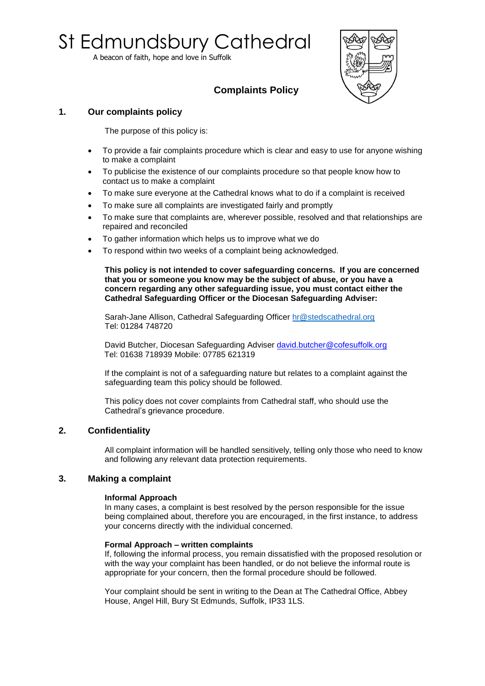# St Edmundsbury Cathedral

A beacon of faith, hope and love in Suffolk



# **Complaints Policy**

## **1. Our complaints policy**

The purpose of this policy is:

- To provide a fair complaints procedure which is clear and easy to use for anyone wishing to make a complaint
- To publicise the existence of our complaints procedure so that people know how to contact us to make a complaint
- To make sure everyone at the Cathedral knows what to do if a complaint is received
- To make sure all complaints are investigated fairly and promptly
- To make sure that complaints are, wherever possible, resolved and that relationships are repaired and reconciled
- To gather information which helps us to improve what we do
- To respond within two weeks of a complaint being acknowledged.

**This policy is not intended to cover safeguarding concerns. If you are concerned that you or someone you know may be the subject of abuse, or you have a concern regarding any other safeguarding issue, you must contact either the Cathedral Safeguarding Officer or the Diocesan Safeguarding Adviser:** 

Sarah-Jane Allison, Cathedral Safeguarding Officer [hr@stedscathedral.org](mailto:hr@stedscathedral.org) Tel: 01284 748720

David Butcher, Diocesan Safeguarding Adviser [david.butcher@cofesuffolk.org](mailto:david.butcher@cofesuffolk.org) Tel: 01638 718939 Mobile: 07785 621319

If the complaint is not of a safeguarding nature but relates to a complaint against the safeguarding team this policy should be followed.

This policy does not cover complaints from Cathedral staff, who should use the Cathedral's grievance procedure.

### **2. Confidentiality**

All complaint information will be handled sensitively, telling only those who need to know and following any relevant data protection requirements.

### **3. Making a complaint**

#### **Informal Approach**

In many cases, a complaint is best resolved by the person responsible for the issue being complained about, therefore you are encouraged, in the first instance, to address your concerns directly with the individual concerned.

#### **Formal Approach – written complaints**

If, following the informal process, you remain dissatisfied with the proposed resolution or with the way your complaint has been handled, or do not believe the informal route is appropriate for your concern, then the formal procedure should be followed.

Your complaint should be sent in writing to the Dean at The Cathedral Office, Abbey House, Angel Hill, Bury St Edmunds, Suffolk, IP33 1LS.